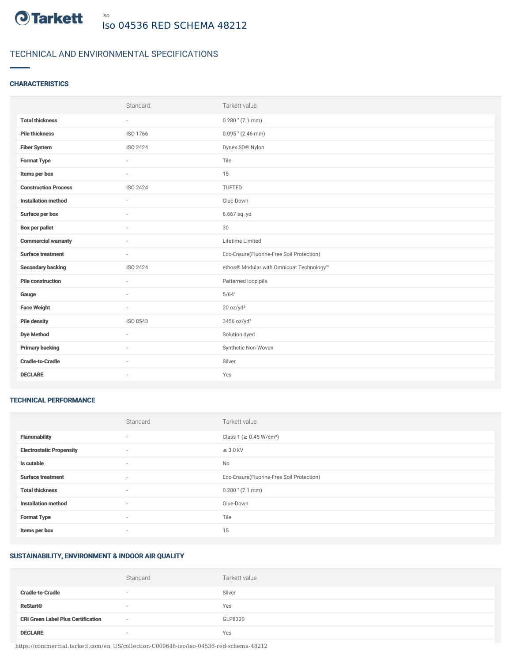

# TECHNICAL AND ENVIRONMENTAL SPECIFICATIONS

# **CHARACTERISTICS**

|                             | Standard  | Tarkett value                             |
|-----------------------------|-----------|-------------------------------------------|
| <b>Total thickness</b>      | $\sim$    | $0.280$ " (7.1 mm)                        |
| <b>Pile thickness</b>       | ISO 1766  | $0.095$ " (2.46 mm)                       |
| <b>Fiber System</b>         | ISO 2424  | Dynex SD® Nylon                           |
| <b>Format Type</b>          | ÷         | Tile                                      |
| Items per box               | $\bar{ }$ | 15                                        |
| <b>Construction Process</b> | ISO 2424  | TUFTED                                    |
| <b>Installation method</b>  | $\sim$    | Glue-Down                                 |
| Surface per box             | ٠         | 6.667 sq. yd                              |
| <b>Box per pallet</b>       | $\sim$    | 30                                        |
| <b>Commercial warranty</b>  |           | Lifetime Limited                          |
| <b>Surface treatment</b>    | $\sim$    | Eco-Ensure(Fluorine-Free Soil Protection) |
| <b>Secondary backing</b>    | ISO 2424  | ethos® Modular with Omnicoat Technology™  |
| <b>Pile construction</b>    | $\sim$    | Patterned loop pile                       |
| Gauge                       |           | 5/64"                                     |
| <b>Face Weight</b>          | $\sim$    | 20 oz/yd <sup>2</sup>                     |
| <b>Pile density</b>         | ISO 8543  | 3456 oz/yd <sup>3</sup>                   |
| <b>Dye Method</b>           | ×.        | Solution dyed                             |
| <b>Primary backing</b>      | ٠         | Synthetic Non-Woven                       |
| <b>Cradle-to-Cradle</b>     | ×.        | Silver                                    |
| <b>DECLARE</b>              | ٠         | Yes                                       |

#### TECHNICAL PERFORMANCE

|                                 | Standard                 | Tarkett value                             |
|---------------------------------|--------------------------|-------------------------------------------|
| <b>Flammability</b>             | ۰                        | Class 1 (≥ 0.45 W/cm <sup>2</sup> )       |
| <b>Electrostatic Propensity</b> | $\sim$                   | $\leq$ 3.0 kV                             |
| Is cutable                      | $\overline{\phantom{a}}$ | No                                        |
| <b>Surface treatment</b>        | $\sim$                   | Eco-Ensure(Fluorine-Free Soil Protection) |
| <b>Total thickness</b>          | $\sim$                   | $0.280$ " (7.1 mm)                        |
| <b>Installation method</b>      | $\sim$                   | Glue-Down                                 |
| <b>Format Type</b>              | $\sim$                   | Tile                                      |
| Items per box                   | ۰                        | 15                                        |

# SUSTAINABILITY, ENVIRONMENT & INDOOR AIR QUALITY

|                                           | Standard | Tarkett value |
|-------------------------------------------|----------|---------------|
| <b>Cradle-to-Cradle</b>                   | $\sim$   | Silver        |
| <b>ReStart<sup>®</sup></b>                | $\sim$   | Yes           |
| <b>CRI Green Label Plus Certification</b> | $\sim$   | GLP8320       |
| <b>DECLARE</b>                            | $\sim$   | Yes           |

https://commercial.tarkett.com/en\_US/collection-C000648-iso/iso-04536-red-schema-48212